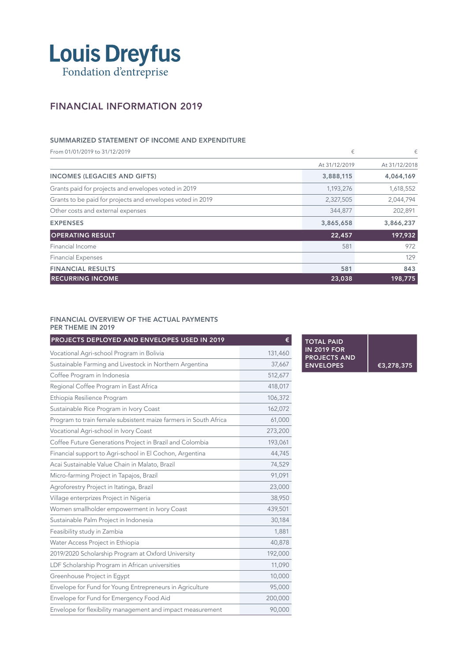

## FINANCIAL INFORMATION 2019

### SUMMARIZED STATEMENT OF INCOME AND EXPENDITURE

From 01/01/2019 to 31/12/2019 **F** At 31/12/2019 At 31/12/2018 INCOMES (LEGACIES AND GIFTS) 3,888,115 4,064,169 Grants paid for projects and envelopes voted in 2019 1,193,276 1,193,276 1,618,552 Grants to be paid for projects and envelopes voted in 2019 **2008** 2,327,505 2,044,794 Other costs and external expenses 344,877 202,891 EXPENSES 3,865,658 3,866,237 OPERATING RESULT **22,457** 197,932 Financial Income 581 972 Financial Expenses 129 FINANCIAL RESULTS 843 RECURRING INCOME 23,038 23,038 198,775

#### FINANCIAL OVERVIEW OF THE ACTUAL PAYMENTS PER THEME IN 2019

| PROJECTS DEPLOYED AND ENVELOPES USED IN 2019<br>€                |         |
|------------------------------------------------------------------|---------|
| Vocational Agri-school Program in Bolivia                        | 131,460 |
| Sustainable Farming and Livestock in Northern Argentina          | 37,667  |
| Coffee Program in Indonesia                                      | 512,677 |
| Regional Coffee Program in East Africa                           | 418,017 |
| Ethiopia Resilience Program                                      | 106,372 |
| Sustainable Rice Program in Ivory Coast                          | 162,072 |
| Program to train female subsistent maize farmers in South Africa | 61,000  |
| Vocational Agri-school in Ivory Coast                            | 273,200 |
| Coffee Future Generations Project in Brazil and Colombia         | 193,061 |
| Financial support to Agri-school in El Cochon, Argentina         | 44,745  |
| Acai Sustainable Value Chain in Malato, Brazil                   | 74,529  |
| Micro-farming Project in Tapajos, Brazil                         | 91,091  |
| Agroforestry Project in Itatinga, Brazil                         | 23,000  |
| Village enterprizes Project in Nigeria                           | 38,950  |
| Women smallholder empowerment in Ivory Coast                     | 439,501 |
| Sustainable Palm Project in Indonesia                            | 30,184  |
| Feasibility study in Zambia                                      | 1,881   |
| Water Access Project in Ethiopia                                 | 40,878  |
| 2019/2020 Scholarship Program at Oxford University               | 192,000 |
| LDF Scholarship Program in African universities                  | 11,090  |
| Greenhouse Project in Egypt                                      | 10,000  |
| Envelope for Fund for Young Entrepreneurs in Agriculture         | 95,000  |
| Envelope for Fund for Emergency Food Aid                         | 200,000 |
| Envelope for flexibility management and impact measurement       | 90,000  |

TOTAL PAID IN 2019 FOR PROJECTS AND ENVELOPES €3,278,375